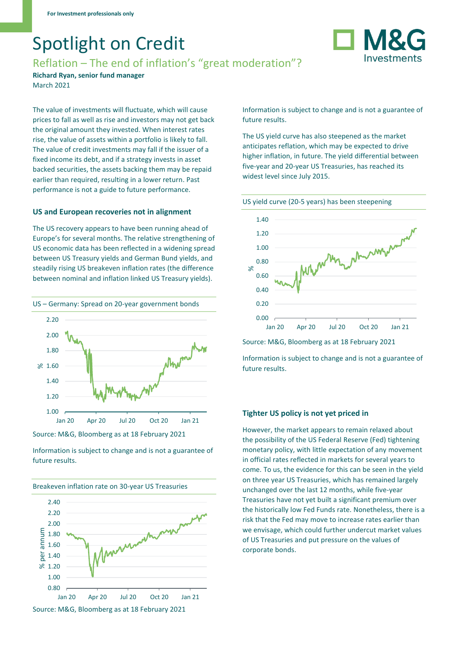# Spotlight on Credit

# Reflation – The end of inflation's "great moderation"?

**M**& Investments

**Richard Ryan, senior fund manager**  March 2021

The value of investments will fluctuate, which will cause prices to fall as well as rise and investors may not get back the original amount they invested. When interest rates rise, the value of assets within a portfolio is likely to fall. The value of credit investments may fall if the issuer of a fixed income its debt, and if a strategy invests in asset backed securities, the assets backing them may be repaid earlier than required, resulting in a lower return. Past performance is not a guide to future performance.

# **US and European recoveries not in alignment**

The US recovery appears to have been running ahead of Europe's for several months. The relative strengthening of US economic data has been reflected in a widening spread between US Treasury yields and German Bund yields, and steadily rising US breakeven inflation rates (the difference between nominal and inflation linked US Treasury yields).



Source: M&G, Bloomberg as at 18 February 2021

Information is subject to change and is not a guarantee of future results.



Information is subject to change and is not a guarantee of future results.

The US yield curve has also steepened as the market anticipates reflation, which may be expected to drive higher inflation, in future. The yield differential between five-year and 20-year US Treasuries, has reached its widest level since July 2015.



Source: M&G, Bloomberg as at 18 February 2021

Information is subject to change and is not a guarantee of future results.

# **Tighter US policy is not yet priced in**

However, the market appears to remain relaxed about the possibility of the US Federal Reserve (Fed) tightening monetary policy, with little expectation of any movement in official rates reflected in markets for several years to come. To us, the evidence for this can be seen in the yield on three year US Treasuries, which has remained largely unchanged over the last 12 months, while five-year Treasuries have not yet built a significant premium over the historically low Fed Funds rate. Nonetheless, there is a risk that the Fed may move to increase rates earlier than we envisage, which could further undercut market values of US Treasuries and put pressure on the values of corporate bonds.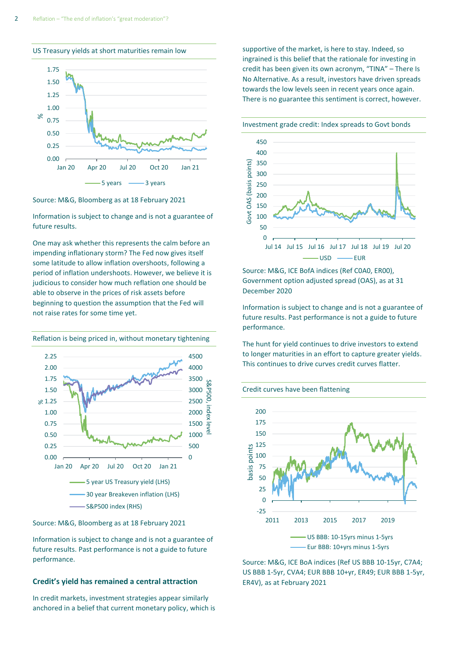US Treasury yields at short maturities remain low



Source: M&G, Bloomberg as at 18 February 2021

Information is subject to change and is not a guarantee of future results.

One may ask whether this represents the calm before an impending inflationary storm? The Fed now gives itself some latitude to allow inflation overshoots, following a period of inflation undershoots. However, we believe it is judicious to consider how much reflation one should be able to observe in the prices of risk assets before beginning to question the assumption that the Fed will not raise rates for some time yet.



Source: M&G, Bloomberg as at 18 February 2021

Information is subject to change and is not a guarantee of future results. Past performance is not a guide to future performance.

#### **Credit's yield has remained a central attraction**

In credit markets, investment strategies appear similarly anchored in a belief that current monetary policy, which is supportive of the market, is here to stay. Indeed, so ingrained is this belief that the rationale for investing in credit has been given its own acronym, "TINA" – There Is No Alternative. As a result, investors have driven spreads towards the low levels seen in recent years once again. There is no guarantee this sentiment is correct, however.

Investment grade credit: Index spreads to Govt bonds



Source: M&G, ICE BofA indices (Ref C0A0, ER00), Government option adjusted spread (OAS), as at 31 December 2020

Information is subject to change and is not a guarantee of future results. Past performance is not a guide to future performance.

The hunt for yield continues to drive investors to extend to longer maturities in an effort to capture greater yields. This continues to drive curves credit curves flatter.





Source: M&G, ICE BoA indices (Ref US BBB 10-15yr, C7A4; US BBB 1-5yr, CVA4; EUR BBB 10+yr, ER49; EUR BBB 1-5yr, ER4V), as at February 2021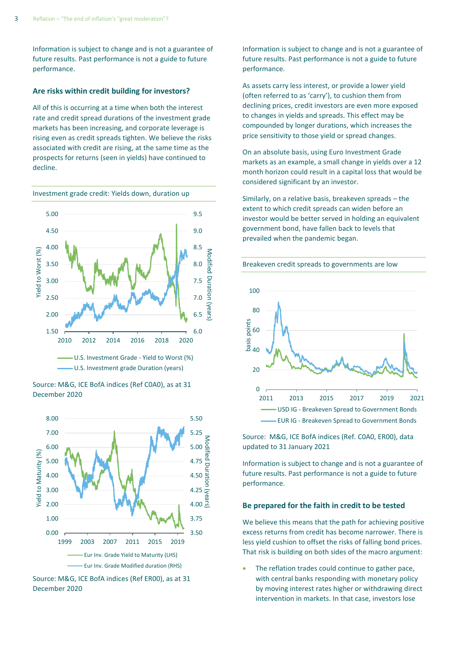Information is subject to change and is not a guarantee of future results. Past performance is not a guide to future performance.

#### **Are risks within credit building for investors?**

All of this is occurring at a time when both the interest rate and credit spread durations of the investment grade markets has been increasing, and corporate leverage is rising even as credit spreads tighten. We believe the risks associated with credit are rising, at the same time as the prospects for returns (seen in yields) have continued to decline.

Investment grade credit: Yields down, duration up







Source: M&G, ICE BofA indices (Ref ER00), as at 31 December 2020

Information is subject to change and is not a guarantee of future results. Past performance is not a guide to future performance.

As assets carry less interest, or provide a lower yield (often referred to as 'carry'), to cushion them from declining prices, credit investors are even more exposed to changes in yields and spreads. This effect may be compounded by longer durations, which increases the price sensitivity to those yield or spread changes.

On an absolute basis, using Euro Investment Grade markets as an example, a small change in yields over a 12 month horizon could result in a capital loss that would be considered significant by an investor.

Similarly, on a relative basis, breakeven spreads – the extent to which credit spreads can widen before an investor would be better served in holding an equivalent government bond, have fallen back to levels that prevailed when the pandemic began.



Source: M&G, ICE BofA indices (Ref. C0A0, ER00), data updated to 31 January 2021

Information is subject to change and is not a guarantee of future results. Past performance is not a guide to future performance.

### **Be prepared for the faith in credit to be tested**

We believe this means that the path for achieving positive excess returns from credit has become narrower. There is less yield cushion to offset the risks of falling bond prices. That risk is building on both sides of the macro argument:

The reflation trades could continue to gather pace, with central banks responding with monetary policy by moving interest rates higher or withdrawing direct intervention in markets. In that case, investors lose